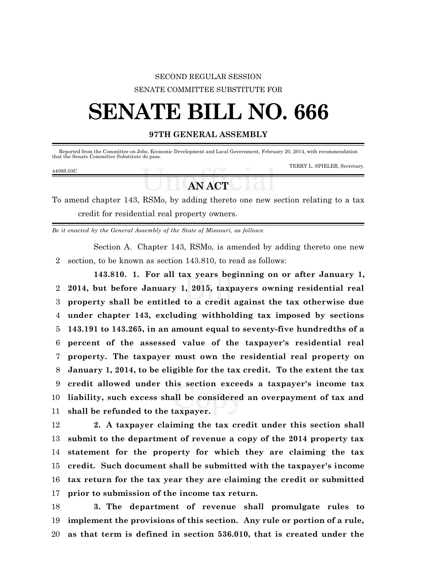## SECOND REGULAR SESSION SENATE COMMITTEE SUBSTITUTE FOR

## **SENATE BILL NO. 666**

## **97TH GENERAL ASSEMBLY**

| that the Senate Committee Substitute do pass. |               | Reported from the Committee on Jobs, Economic Development and Local Government, February 20, 2014, with recommendation |
|-----------------------------------------------|---------------|------------------------------------------------------------------------------------------------------------------------|
| 4409S.03C                                     |               | TERRY L. SPIELER, Secretary.                                                                                           |
|                                               | <b>AN ACT</b> |                                                                                                                        |

To amend chapter 143, RSMo, by adding thereto one new section relating to a tax credit for residential real property owners.

*Be it enacted by the General Assembly of the State of Missouri, as follows:*

Section A. Chapter 143, RSMo, is amended by adding thereto one new 2 section, to be known as section 143.810, to read as follows:

**143.810. 1. For all tax years beginning on or after January 1, 2014, but before January 1, 2015, taxpayers owning residential real property shall be entitled to a credit against the tax otherwise due under chapter 143, excluding withholding tax imposed by sections 143.191 to 143.265, in an amount equal to seventy-five hundredths of a percent of the assessed value of the taxpayer's residential real property. The taxpayer must own the residential real property on January 1, 2014, to be eligible for the tax credit. To the extent the tax credit allowed under this section exceeds a taxpayer's income tax liability, such excess shall be considered an overpayment of tax and shall be refunded to the taxpayer.**

 **2. A taxpayer claiming the tax credit under this section shall submit to the department of revenue a copy of the 2014 property tax statement for the property for which they are claiming the tax credit. Such document shall be submitted with the taxpayer's income tax return for the tax year they are claiming the credit or submitted prior to submission of the income tax return.**

18 **3. The department of revenue shall promulgate rules to** 19 **implement the provisions of this section. Any rule or portion of a rule,** 20 **as that term is defined in section 536.010, that is created under the**